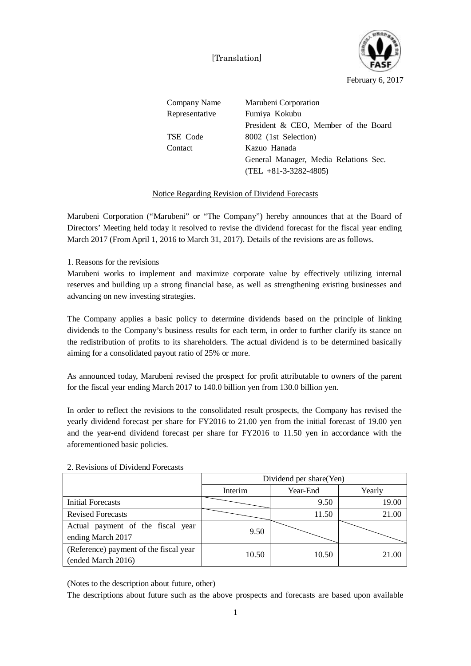[Translation]



February 6, 2017

| Company Name   | Marubeni Corporation                  |  |  |
|----------------|---------------------------------------|--|--|
| Representative | Fumiya Kokubu                         |  |  |
|                | President & CEO, Member of the Board  |  |  |
| TSE Code       | 8002 (1st Selection)                  |  |  |
| Contact        | Kazuo Hanada                          |  |  |
|                | General Manager, Media Relations Sec. |  |  |
|                | $(TEL + 81 - 3 - 3282 - 4805)$        |  |  |

## Notice Regarding Revision of Dividend Forecasts

Marubeni Corporation ("Marubeni" or "The Company") hereby announces that at the Board of Directors' Meeting held today it resolved to revise the dividend forecast for the fiscal year ending March 2017 (From April 1, 2016 to March 31, 2017). Details of the revisions are as follows.

1. Reasons for the revisions

Marubeni works to implement and maximize corporate value by effectively utilizing internal reserves and building up a strong financial base, as well as strengthening existing businesses and advancing on new investing strategies.

The Company applies a basic policy to determine dividends based on the principle of linking dividends to the Company's business results for each term, in order to further clarify its stance on the redistribution of profits to its shareholders. The actual dividend is to be determined basically aiming for a consolidated payout ratio of 25% or more.

As announced today, Marubeni revised the prospect for profit attributable to owners of the parent for the fiscal year ending March 2017 to 140.0 billion yen from 130.0 billion yen.

In order to reflect the revisions to the consolidated result prospects, the Company has revised the yearly dividend forecast per share for FY2016 to 21.00 yen from the initial forecast of 19.00 yen and the year-end dividend forecast per share for FY2016 to 11.50 yen in accordance with the aforementioned basic policies.

|                                        | Dividend per share (Yen) |          |        |  |
|----------------------------------------|--------------------------|----------|--------|--|
|                                        | Interim                  | Year-End | Yearly |  |
| Initial Forecasts                      |                          | 9.50     | 19.00  |  |
| <b>Revised Forecasts</b>               |                          | 11.50    | 21.00  |  |
| Actual payment of the fiscal year      | 9.50                     |          |        |  |
| ending March 2017                      |                          |          |        |  |
| (Reference) payment of the fiscal year | 10.50                    | 10.50    | 21.00  |  |
| (ended March 2016)                     |                          |          |        |  |

## 2. Revisions of Dividend Forecasts

(Notes to the description about future, other)

The descriptions about future such as the above prospects and forecasts are based upon available